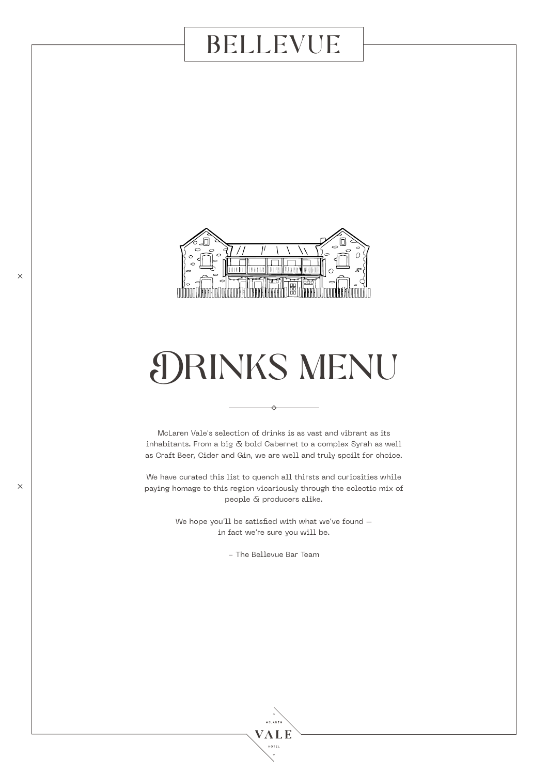

# DRINKS MENU

McLaren Vale's selection of drinks is as vast and vibrant as its inhabitants. From a big  $\bar{\alpha}$  bold Cabernet to a complex Syrah as well as Craft Beer, Cider and Gin, we are well and truly spoilt for choice.

We have curated this list to quench all thirsts and curiosities while paying homage to this region vicariously through the eclectic mix of people & producers alike.

> We hope you'll be satisfied with what we've found in fact we're sure you will be.

> > - The Bellevue Bar Team

.<br>MSLAREI VALE **HOTEL**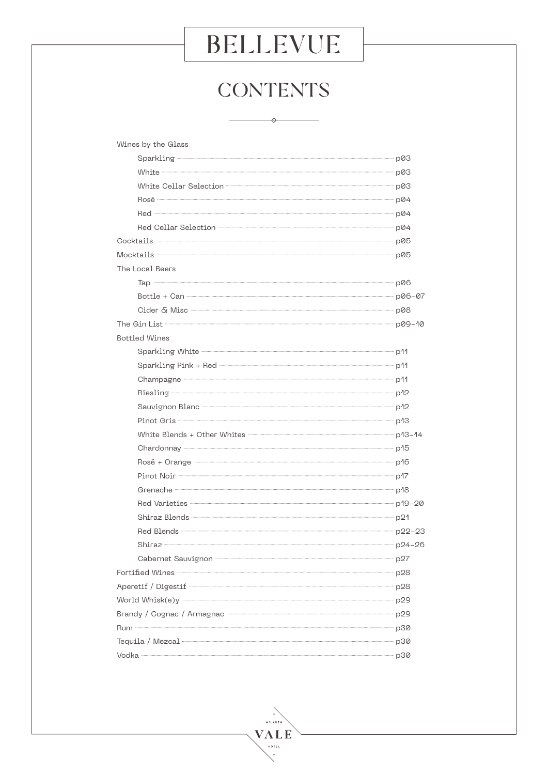## **CONTENTS**

 $\rightarrow$ 

| Wines by the Glass                                                                                                                                                                                                                  |  |
|-------------------------------------------------------------------------------------------------------------------------------------------------------------------------------------------------------------------------------------|--|
| Sparkling p03                                                                                                                                                                                                                       |  |
| White <b>Constitution</b> post-                                                                                                                                                                                                     |  |
| White Cellar Selection <b>- 2008</b> post of the contract of the contract of the contract of the contract of the contract of the contract of the contract of the contract of the contract of the contract of the contract of the co |  |
| Rosé – p04                                                                                                                                                                                                                          |  |
| Red - p04                                                                                                                                                                                                                           |  |
| Red Cellar Selection <b>Construction</b> 204                                                                                                                                                                                        |  |
| Cocktails p05                                                                                                                                                                                                                       |  |
| Mocktails p05                                                                                                                                                                                                                       |  |
| The Local Beers                                                                                                                                                                                                                     |  |
| Тар — роб                                                                                                                                                                                                                           |  |
| Bottle + Can - p06-07                                                                                                                                                                                                               |  |
| Cider & Misc - p08                                                                                                                                                                                                                  |  |
| The Gin List numerical pools and pools are pooled by pools and pools are pools and pools are pools and pools are pools are pools and pools are pools are pools and pools are pools are pools and pools are possible in the set      |  |
| <b>Bottled Wines</b>                                                                                                                                                                                                                |  |
| Sparkling White <b>Construction</b> and the construction of the p <sup>1</sup> 1                                                                                                                                                    |  |
|                                                                                                                                                                                                                                     |  |
| Champagne 211                                                                                                                                                                                                                       |  |
| Riesling and the policy of the policy of the policy of the policy of the policy of the policy of the policy of the policy of the policy of the policy of the policy of the policy of the policy of the policy of the policy of      |  |
| Sauvignon Blanc - 212                                                                                                                                                                                                               |  |
| Pinot Gris - p <sup>1</sup> 3                                                                                                                                                                                                       |  |
| White Blends + Other Whites <b>- 2008</b> - 24 PM 2014                                                                                                                                                                              |  |
| Chardonnay - p <sup>15</sup>                                                                                                                                                                                                        |  |
| Rosé + Orange - 2008 - 2008 - 2008 - 2008 - 2018 - 2018 - 2019 - 2018 - 2019 - 2019 - 2019 - 2019 - 2019 - 201                                                                                                                      |  |
| Pinot Noir – p <sup>17</sup>                                                                                                                                                                                                        |  |
| Grenache - p <sup>18</sup>                                                                                                                                                                                                          |  |
|                                                                                                                                                                                                                                     |  |
| Shiraz Blends - 21                                                                                                                                                                                                                  |  |
|                                                                                                                                                                                                                                     |  |
| Shiraz - p24-26                                                                                                                                                                                                                     |  |
| Cabernet Sauvignon The Cabernet Sauvignon                                                                                                                                                                                           |  |
| Fortified Wines - p28                                                                                                                                                                                                               |  |
| Aperetif / Digestif 28                                                                                                                                                                                                              |  |
|                                                                                                                                                                                                                                     |  |
| Brandy / Cognac / Armagnac - 2008 - 2009 - 2010 12:00 12:00 12:00 12:00 12:00 12:00 12:00 12:00 12:00 12:00 12                                                                                                                      |  |
|                                                                                                                                                                                                                                     |  |
| Tequila / Mezcal by Davis Davis Davis Davis Davis Davis Davis Davis Davis Davis Davis Davis Davis Davis Davis D                                                                                                                     |  |
|                                                                                                                                                                                                                                     |  |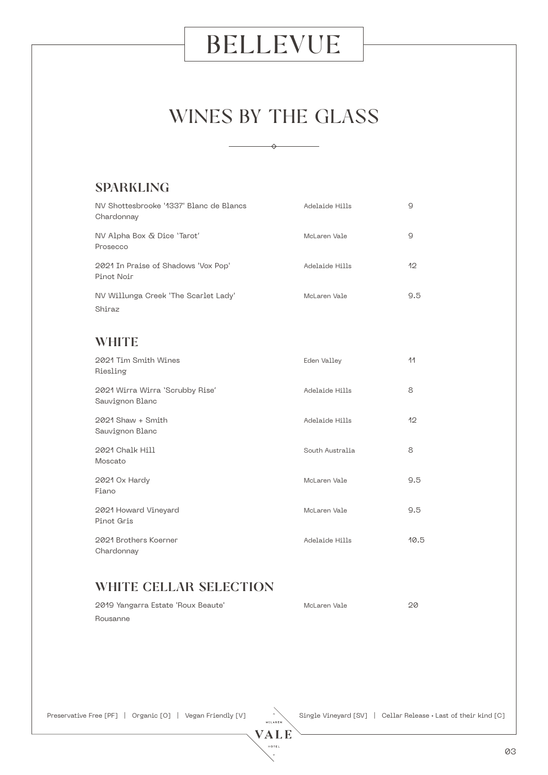## WINES BY THE GLASS

 $\rightarrow$ 

#### SPARKLING

| NV Shottesbrooke '1337' Blanc de Blancs<br>Chardonnay | Adelaide Hills  | 9    |
|-------------------------------------------------------|-----------------|------|
| NV Alpha Box & Dice 'Tarot'<br>Prosecco               | McLaren Vale    | 9    |
| 2021 In Praise of Shadows 'Vox Pop'<br>Pinot Noir     | Adelaide Hills  | 12   |
| NV Willunga Creek 'The Scarlet Lady'<br>Shiraz        | McLaren Vale    | 9.5  |
| WHITE                                                 |                 |      |
| 2021 Tim Smith Wines<br>Riesling                      | Eden Valley     | 11   |
| 2021 Wirra Wirra 'Scrubby Rise'<br>Sauvignon Blanc    | Adelaide Hills  | 8    |
| 2021 Shaw + Smith<br>Sauvignon Blanc                  | Adelaide Hills  | 12   |
| 2021 Chalk Hill<br>Moscato                            | South Australia | 8    |
| 2021 Ox Hardy<br>Fiano                                | McLaren Vale    | 9.5  |
| 2021 Howard Vineyard<br>Pinot Gris                    | McLaren Vale    | 9.5  |
| 2021 Brothers Koerner<br>Chardonnay                   | Adelaide Hills  | 10.5 |

### WHITE CELLAR SELECTION

| 2019 Yangarra Estate 'Roux Beaute' | McLaren Vale | 20 |
|------------------------------------|--------------|----|
| Rousanne                           |              |    |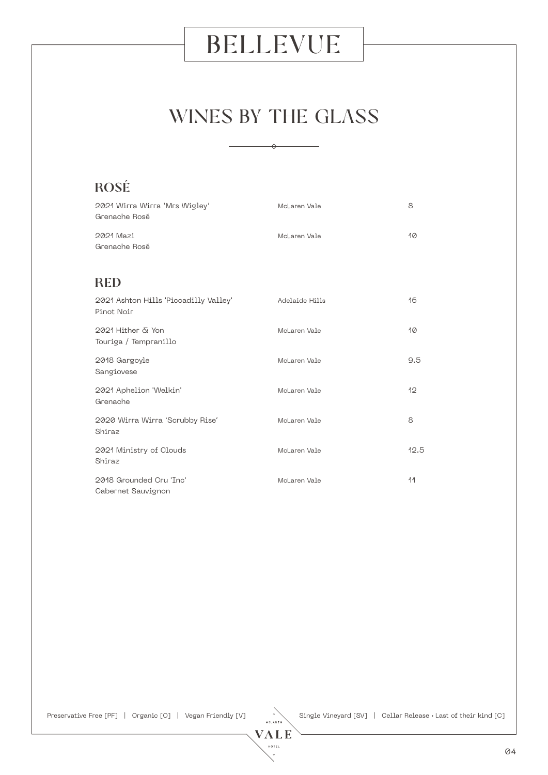## WINES BY THE GLASS

⇔

ROSÉ 2021 Wirra Wirra 'Mrs Wigley' McLaren Vale 8 Grenache Rosé 2021 Mazi McLaren Vale 10 Grenache Rosé **RED** 2021 Ashton Hills 'Piccadilly Valley' Adelaide Hills 16 Pinot Noir 2021 Hither & Yon McLaren Vale 10 Touriga / Tempranillo 2018 Gargoyle McLaren Vale 9.5 Sangiovese 2021 Aphelion 'Welkin' McLaren Vale 12 Grenache 2020 Wirra Wirra 'Scrubby Rise' McLaren Vale 8 Shiraz 2021 Ministry of Clouds and McLaren Vale 12.5 Shiraz 2018 Grounded Cru 'Inc' Nicholaren Vale 11 McLaren Vale 11 Cabernet Sauvignon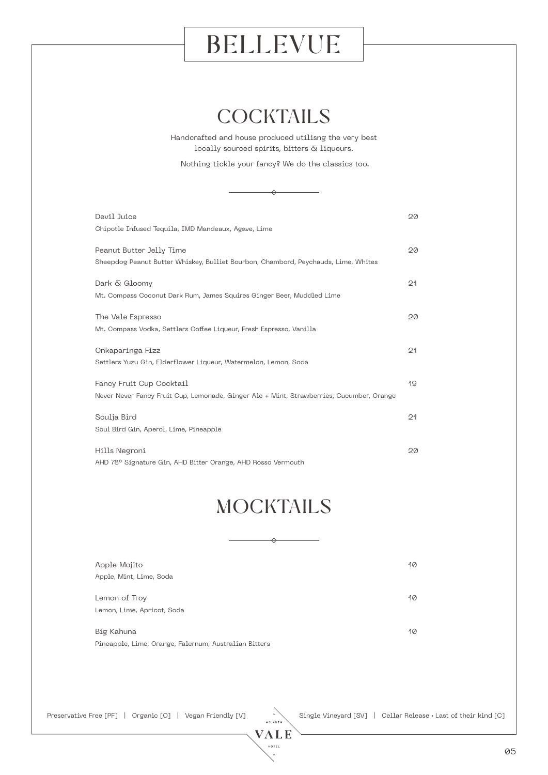### **COCKTAILS**

Handcrafted and house produced utilisng the very best locally sourced spirits, bitters  $\bar{\alpha}$  liqueurs.

Nothing tickle your fancy? We do the classics too.

 $\leftrightarrow$ 

| Devil Juice<br>Chipotle Infused Tequila, IMD Mandeaux, Agave, Lime                                                   | 20 |
|----------------------------------------------------------------------------------------------------------------------|----|
| Peanut Butter Jelly Time<br>Sheepdog Peanut Butter Whiskey, Bulliet Bourbon, Chambord, Peychauds, Lime, Whites       | 20 |
| Dark & Gloomy<br>Mt. Compass Coconut Dark Rum, James Squires Ginger Beer, Muddled Lime                               | 21 |
| The Vale Espresso<br>Mt. Compass Vodka, Settlers Coffee Liqueur, Fresh Espresso, Vanilla                             | 20 |
| Onkaparinga Fizz<br>Settlers Yuzu Gin, Elderflower Liqueur, Watermelon, Lemon, Soda                                  | 21 |
| Fancy Fruit Cup Cocktail<br>Never Never Fancy Fruit Cup, Lemonade, Ginger Ale + Mint, Strawberries, Cucumber, Orange | 19 |
| Soulja Bird<br>Soul Bird Gin, Aperol, Lime, Pineapple                                                                | 21 |
| Hills Negroni<br>AHD 78° Signature Gin, AHD Bitter Orange, AHD Rosso Vermouth                                        | 20 |

## **MOCKTAILS**

⇔

| Apple Mojito                                          | 10 |
|-------------------------------------------------------|----|
| Apple, Mint, Lime, Soda                               |    |
|                                                       |    |
| Lemon of Troy                                         | 10 |
| Lemon, Lime, Apricot, Soda                            |    |
|                                                       |    |
| Big Kahuna                                            | 10 |
| Pineapple, Lime, Orange, Falernum, Australian Bitters |    |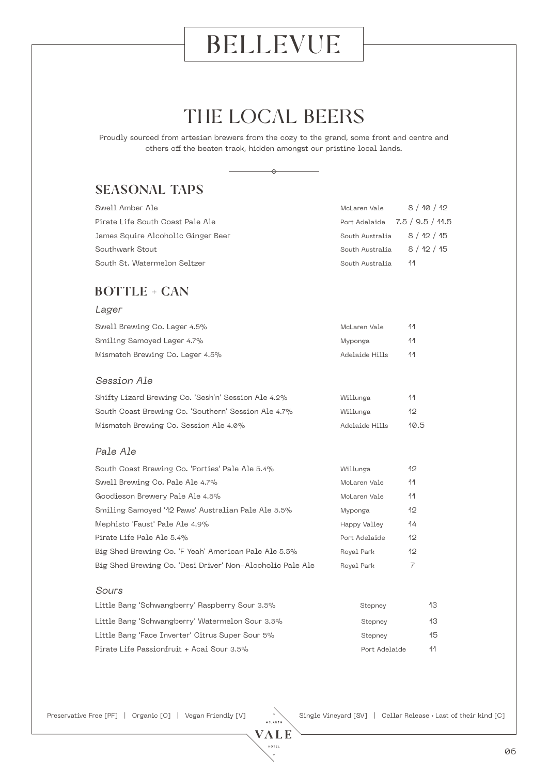## THE LOCAL BEERS

Proudly sourced from artesian brewers from the cozy to the grand, some front and centre and others off the beaten track, hidden amongst our pristine local lands.



### SEASONAL TAPS

| Swell Amber Ale                    | McLaren Vale                   | 8 / 10 / 12 |
|------------------------------------|--------------------------------|-------------|
| Pirate Life South Coast Pale Ale   | Port Adelaide 7.5 / 9.5 / 11.5 |             |
| James Squire Alcoholic Ginger Beer | South Australia 8 / 12 / 15    |             |
| Southwark Stout                    | South Australia                | 8/12/15     |
| South St. Watermelon Seltzer       | South Australia                | -11         |

#### BOTTLE + CAN

#### Lager

| Swell Brewing Co. Lager 4.5%    | McLaren Vale   | 44  |
|---------------------------------|----------------|-----|
| Smiling Samoyed Lager 4.7%      | Myponga        | 44. |
| Mismatch Brewing Co. Lager 4.5% | Adelaide Hills | 44  |

#### Session Ale

| Shifty Lizard Brewing Co. 'Sesh'n' Session Ale 4.2% | Willunga       | -44  |
|-----------------------------------------------------|----------------|------|
| South Coast Brewing Co. 'Southern' Session Ale 4.7% | Willunga       | 12   |
| Mismatch Brewing Co. Session Ale 4.0%               | Adelaide Hills | 10.5 |

#### Pale Ale

| South Coast Brewing Co. 'Porties' Pale Ale 5.4%           | Willunga      | 12  |
|-----------------------------------------------------------|---------------|-----|
| Swell Brewing Co. Pale Ale 4.7%                           | McLaren Vale  | 11  |
| Goodieson Brewery Pale Ale 4.5%                           | McLaren Vale  | -11 |
| Smiling Samoyed '12 Paws' Australian Pale Ale 5.5%        | Myponga       | 12  |
| Mephisto 'Faust' Pale Ale 4.9%                            | Happy Valley  | 14  |
| Pirate Life Pale Ale 5.4%                                 | Port Adelaide | 12  |
| Big Shed Brewing Co. 'F Yeah' American Pale Ale 5.5%      | Royal Park    | 12  |
| Big Shed Brewing Co. 'Desi Driver' Non-Alcoholic Pale Ale | Royal Park    | 7   |

#### Sours

| Little Bang 'Schwangberry' Raspberry Sour 3.5%   | Stepney       | 13  |
|--------------------------------------------------|---------------|-----|
| Little Bang 'Schwangberry' Watermelon Sour 3.5%  | Stepnev       | 13. |
| Little Bang 'Face Inverter' Citrus Super Sour 5% | Stepnev       | 15  |
| Pirate Life Passionfruit + Acai Sour 3.5%        | Port Adelaide | 44  |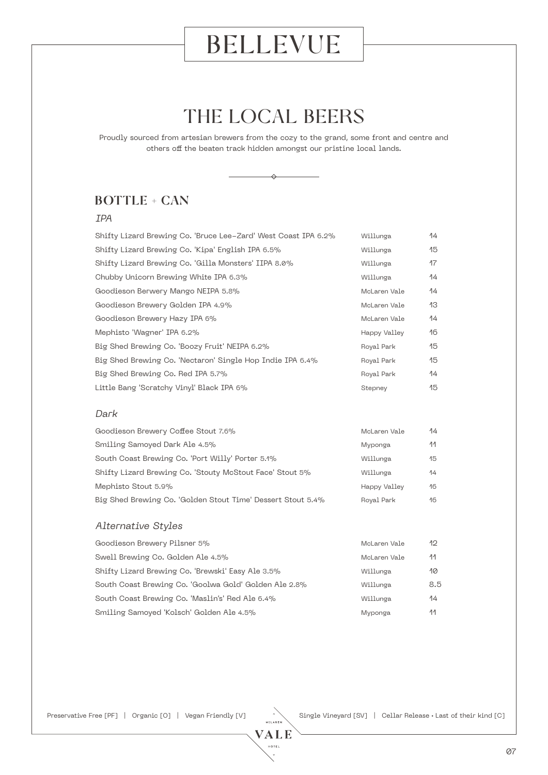## THE LOCAL BEERS

Proudly sourced from artesian brewers from the cozy to the grand, some front and centre and others off the beaten track hidden amongst our pristine local lands.



### BOTTLE + CAN

#### IPA

| Shifty Lizard Brewing Co. 'Bruce Lee-Zard' West Coast IPA 6.2% | Willunga     | 14  |
|----------------------------------------------------------------|--------------|-----|
| Shifty Lizard Brewing Co. 'Kipa' English IPA 6.5%              | Willunga     | 15  |
| Shifty Lizard Brewing Co. 'Gilla Monsters' IIPA 8.0%           | Willunga     | 17  |
| Chubby Unicorn Brewing White IPA 6.3%                          | Willunga     | 14  |
| Goodieson Berwery Mango NEIPA 5.8%                             | McLaren Vale | 14  |
| Goodieson Brewery Golden IPA 4.9%                              | McLaren Vale | 13  |
| Goodieson Brewery Hazy IPA 6%                                  | McLaren Vale | 14  |
| Mephisto 'Wagner' IPA 6.2%                                     | Happy Valley | 16  |
| Big Shed Brewing Co. 'Boozy Fruit' NEIPA 6.2%                  | Royal Park   | 15  |
| Big Shed Brewing Co. 'Nectaron' Single Hop Indie IPA 6.4%      | Royal Park   | 15  |
| Big Shed Brewing Co. Red IPA 5.7%                              | Royal Park   | 14  |
| Little Bang 'Scratchy Vinyl' Black IPA 6%                      | Stepney      | 15  |
| Dark                                                           |              |     |
| Goodieson Brewery Coffee Stout 7.6%                            | McLaren Vale | 14  |
| Smiling Samoyed Dark Ale 4.5%                                  | Myponga      | 11  |
| South Coast Brewing Co. 'Port Willy' Porter 5.1%               | Willunga     | 15  |
| Shifty Lizard Brewing Co. 'Stouty McStout Face' Stout 5%       | Willunga     | 14  |
| Mephisto Stout 5.9%                                            | Happy Valley | 16  |
| Big Shed Brewing Co. 'Golden Stout Time' Dessert Stout 5.4%    | Royal Park   | 16  |
| Alternative Styles                                             |              |     |
| Goodieson Brewery Pilsner 5%                                   | McLaren Vale | 12  |
| Swell Brewing Co. Golden Ale 4.5%                              | McLaren Vale | 11  |
| Shifty Lizard Brewing Co. 'Brewski' Easy Ale 3.5%              | Willunga     | 10  |
| South Coast Brewing Co. 'Goolwa Gold' Golden Ale 2.8%          | Willunga     | 8.5 |
| South Coast Brewing Co. 'Maslin's' Red Ale 6.4%                | Willunga     | 14  |

Preservative Free [PF] | Organic [O] | Vegan Friendly [V] Single Vineyard [SV] | Cellar Release • Last of their kind [C]

Smiling Samoyed 'Kolsch' Golden Ale 4.5% and the state of Myponga 11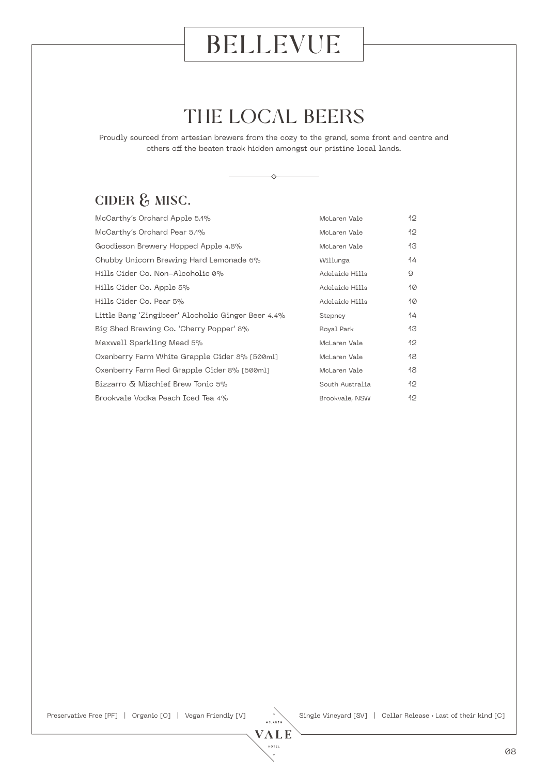## THE LOCAL BEERS

Proudly sourced from artesian brewers from the cozy to the grand, some front and centre and others off the beaten track hidden amongst our pristine local lands.

 $\Leftrightarrow$ 

### CIDER & MISC.

| McCarthy's Orchard Apple 5.1%                      | McLaren Vale    | 12 |
|----------------------------------------------------|-----------------|----|
| McCarthy's Orchard Pear 5.1%                       | McLaren Vale    | 12 |
| Goodieson Brewery Hopped Apple 4.8%                | McLaren Vale    | 13 |
| Chubby Unicorn Brewing Hard Lemonade 6%            | Willunga        | 14 |
| Hills Cider Co. Non-Alcoholic 0%                   | Adelaide Hills  | 9  |
| Hills Cider Co. Apple 5%                           | Adelaide Hills  | 10 |
| Hills Cider Co. Pear 5%                            | Adelaide Hills  | 10 |
| Little Bang 'Zingibeer' Alcoholic Ginger Beer 4.4% | Stepney         | 14 |
| Big Shed Brewing Co. 'Cherry Popper' 8%            | Royal Park      | 13 |
| Maxwell Sparkling Mead 5%                          | McLaren Vale    | 12 |
| Oxenberry Farm White Grapple Cider 8% [500ml]      | McLaren Vale    | 18 |
| Oxenberry Farm Red Grapple Cider 8% [500ml]        | McLaren Vale    | 18 |
| Bizzarro & Mischief Brew Tonic 5%                  | South Australia | 12 |
| Brookvale Vodka Peach Iced Tea 4%                  | Brookvale, NSW  | 12 |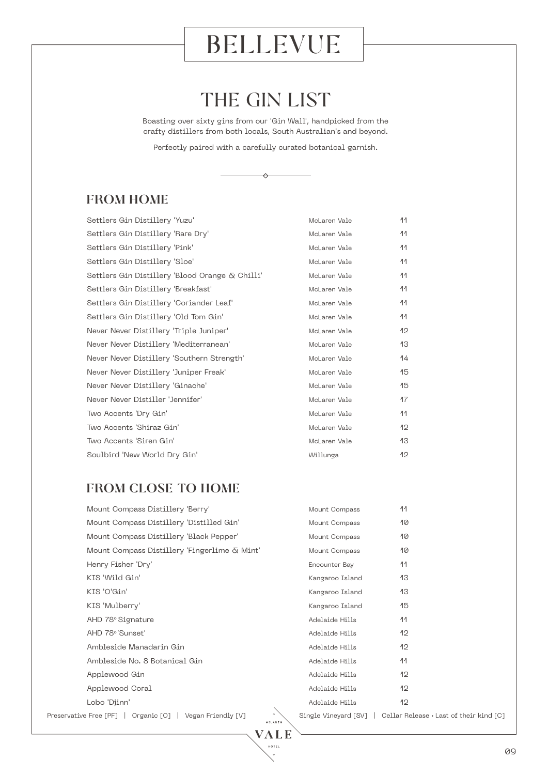## THE GIN LIST

Boasting over sixty gins from our 'Gin Wall', handpicked from the crafty distillers from both locals, South Australian's and beyond.

Perfectly paired with a carefully curated botanical garnish.

 $\Leftrightarrow$ 

#### FROM HOME

| Settlers Gin Distillery 'Yuzu'                  | McLaren Vale | 44  |
|-------------------------------------------------|--------------|-----|
| Settlers Gin Distillery 'Rare Dry'              | McLaren Vale | 11  |
| Settlers Gin Distillery 'Pink'                  | McLaren Vale | 11  |
| Settlers Gin Distillery 'Sloe'                  | McLaren Vale | 11  |
| Settlers Gin Distillery 'Blood Orange & Chilli' | McLaren Vale | 44  |
| Settlers Gin Distillery 'Breakfast'             | McLaren Vale | -11 |
| Settlers Gin Distillery 'Coriander Leaf'        | McLaren Vale | 11  |
| Settlers Gin Distillery 'Old Tom Gin'           | McLaren Vale | 11  |
| Never Never Distillery 'Triple Juniper'         | McLaren Vale | 12  |
| Never Never Distillery 'Mediterranean'          | McLaren Vale | 13  |
| Never Never Distillery 'Southern Strength'      | McLaren Vale | 14  |
| Never Never Distillery 'Juniper Freak'          | McLaren Vale | 15  |
| Never Never Distillery 'Ginache'                | McLaren Vale | 15  |
| Never Never Distiller 'Jennifer'                | McLaren Vale | 17  |
| Two Accents 'Dry Gin'                           | McLaren Vale | 11  |
| Two Accents 'Shiraz Gin'                        | McLaren Vale | 12  |
| Two Accents 'Siren Gin'                         | McLaren Vale | 13  |
| Soulbird 'New World Dry Gin'                    | Willunga     | 12  |

#### FROM CLOSE TO HOME

| Mount Compass Distillery 'Berry'                           | Mount Compass   | 11                                                             |
|------------------------------------------------------------|-----------------|----------------------------------------------------------------|
| Mount Compass Distillery 'Distilled Gin'                   | Mount Compass   | 10                                                             |
| Mount Compass Distillery 'Black Pepper'                    | Mount Compass   | 10                                                             |
| Mount Compass Distillery 'Fingerlime & Mint'               | Mount Compass   | 10                                                             |
| Henry Fisher 'Dry'                                         | Encounter Bay   | 11                                                             |
| KIS 'Wild Gin'                                             | Kangaroo Island | 13                                                             |
| KIS 'O'Gin'                                                | Kangaroo Island | 13                                                             |
| KIS 'Mulberry'                                             | Kangaroo Island | 15                                                             |
| AHD 78° Signature                                          | Adelaide Hills  | 11                                                             |
| AHD 78° Sunset'                                            | Adelaide Hills  | 12                                                             |
| Ambleside Manadarin Gin                                    | Adelaide Hills  | 12                                                             |
| Ambleside No. 8 Botanical Gin                              | Adelaide Hills  | 11                                                             |
| Applewood Gin                                              | Adelaide Hills  | 12                                                             |
| Applewood Coral                                            | Adelaide Hills  | 12                                                             |
| Lobo 'Djinn'                                               | Adelaide Hills  | 12                                                             |
| Preservative Free [PF]   Organic [O]<br>Vegan Friendly [V] |                 | Single Vineyard [SV]   Cellar Release • Last of their kind [C] |

VALE **HOTEL**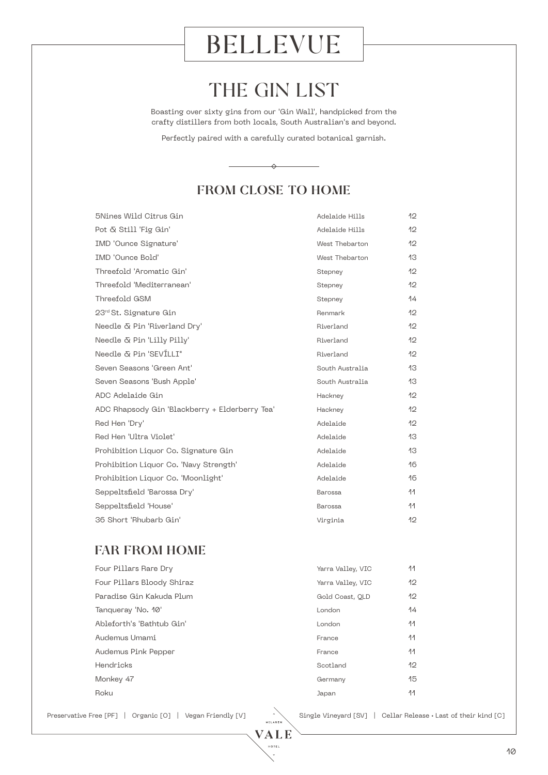## THE GIN LIST

Boasting over sixty gins from our 'Gin Wall', handpicked from the crafty distillers from both locals, South Australian's and beyond.

Perfectly paired with a carefully curated botanical garnish.

 $\leftrightarrow$ 

### FROM CLOSE TO HOME

| 5Nines Wild Citrus Gin                         | Adelaide Hills  | 12           |
|------------------------------------------------|-----------------|--------------|
| Pot & Still 'Fig Gin'                          | Adelaide Hills  | 12           |
| <b>IMD</b> 'Ounce Signature'                   | West Thebarton  | 12           |
| <b>IMD</b> 'Ounce Bold'                        | West Thebarton  | 13           |
| Threefold 'Aromatic Gin'                       | Stepney         | 12           |
| Threefold 'Mediterranean'                      | Stepney         | $12^{\circ}$ |
| Threefold GSM                                  | Stepney         | 14           |
| 23rd St. Signature Gin                         | Renmark         | $12^{\circ}$ |
| Needle & Pin 'Riverland Dry'                   | Riverland       | 12           |
| Needle & Pin 'Lilly Pilly'                     | Riverland       | 12           |
| Needle & Pin 'SEVILLI"                         | Riverland       | 12           |
| Seven Seasons 'Green Ant'                      | South Australia | 13           |
| Seven Seasons 'Bush Apple'                     | South Australia | 13           |
| ADC Adelaide Gin                               | Hackney         | 12           |
| ADC Rhapsody Gin 'Blackberry + Elderberry Tea' | Hackney         | $12^{\circ}$ |
| Red Hen 'Dry'                                  | Adelaide        | 12           |
| Red Hen 'Ultra Violet'                         | Adelaide        | 13           |
| Prohibition Liquor Co. Signature Gin           | Adelaide        | 13           |
| Prohibition Liquor Co. 'Navy Strength'         | Adelaide        | 16           |
| Prohibition Liquor Co. 'Moonlight'             | Adelaide        | 16           |
| Seppeltsfield 'Barossa Dry'                    | <b>Barossa</b>  | 44           |
| Seppeltsfield 'House'                          | Barossa         | 11           |
| 36 Short 'Rhubarb Gin'                         | Virginia        | 12           |
|                                                |                 |              |

#### FAR FROM HOME

| Four Pillars Rare Dry      | Yarra Valley, VIC | 11           |
|----------------------------|-------------------|--------------|
| Four Pillars Bloody Shiraz | Yarra Valley, VIC | $12^{\circ}$ |
| Paradise Gin Kakuda Plum   | Gold Coast, OLD   | $12^{\circ}$ |
| Tanqueray 'No. 10'         | London            | 14           |
| Ableforth's 'Bathtub Gin'  | London            | -11          |
| Audemus Umami              | France            | -11          |
| Audemus Pink Pepper        | France            | -11          |
| Hendricks                  | Scotland          | $12^{\circ}$ |
| Monkey 47                  | Germany           | 15           |
| Roku                       | Japan             | 11           |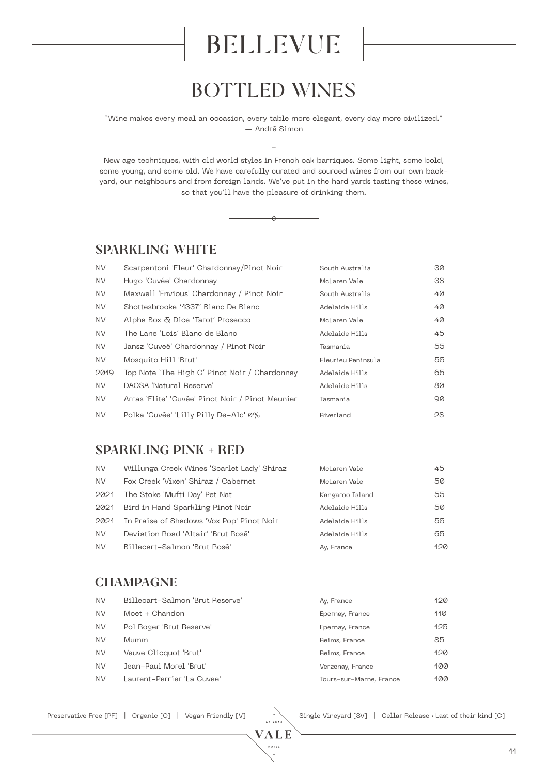### BOTTLED WINES

"Wine makes every meal an occasion, every table more elegant, every day more civilized." — André Simon

 $\overline{a}$ 

New age techniques, with old world styles in French oak barriques. Some light, some bold, some young, and some old. We have carefully curated and sourced wines from our own backyard, our neighbours and from foreign lands. We've put in the hard yards tasting these wines, so that you'll have the pleasure of drinking them.

↔



| <b>NV</b> | Scarpantoni 'Fleur' Chardonnay/Pinot Noir        | South Australia    | 30 |
|-----------|--------------------------------------------------|--------------------|----|
| <b>NV</b> | Hugo 'Cuvée' Chardonnay                          | McLaren Vale       | 38 |
| <b>NV</b> | Maxwell 'Envious' Chardonnay / Pinot Noir        | South Australia    | 40 |
| <b>NV</b> | Shottesbrooke '4337' Blanc De Blanc              | Adelaide Hills     | 40 |
| <b>NV</b> | Alpha Box & Dice 'Tarot' Prosecco                | McLaren Vale       | 40 |
| NV.       | The Lane 'Lois' Blanc de Blanc                   | Adelaide Hills     | 45 |
| NV.       | Jansz 'Cuveé' Chardonnay / Pinot Noir            | Tasmania           | 55 |
| NV.       | Mosquito Hill 'Brut'                             | Fleurieu Peninsula | 55 |
| 2019      | Top Note 'The High C' Pinot Noir / Chardonnay    | Adelaide Hills     | 65 |
| <b>NV</b> | DAOSA 'Natural Reserve'                          | Adelaide Hills     | 80 |
| NV.       | Arras 'Elite' 'Cuvée' Pinot Noir / Pinot Meunier | Tasmania           | 90 |
| <b>NV</b> | Polka 'Cuvée' 'Lilly Pilly De-Alc' 0%            | Riverland          | 28 |

#### SPARKLING PINK + RED

| <b>NV</b> | Willunga Creek Wines 'Scarlet Lady' Shiraz | McLaren Vale    | 45  |
|-----------|--------------------------------------------|-----------------|-----|
| NV.       | Fox Creek 'Vixen' Shiraz / Cabernet        | McLaren Vale    | 50  |
| 2021      | The Stoke 'Mufti Day' Pet Nat              | Kangaroo Island | 55  |
| 2021      | Bird in Hand Sparkling Pinot Noir          | Adelaide Hills  | 50  |
| 2021      | In Praise of Shadows 'Vox Pop' Pinot Noir  | Adelaide Hills  | 55  |
| NV.       | Deviation Road 'Altair' 'Brut Rosé'        | Adelaide Hills  | 65  |
| NV.       | Billecart-Salmon 'Brut Rosé'               | Ay, France      | 120 |

#### **CHAMPAGNE**

| <b>NV</b> | Billecart-Salmon 'Brut Reserve' | Ay, France              | 120 |
|-----------|---------------------------------|-------------------------|-----|
| NV.       | Moet + Chandon                  | Epernay, France         | 110 |
| NV        | Pol Roger 'Brut Reserve'        | Epernay, France         | 125 |
| NV.       | Mumm                            | Reims, France           | 85  |
| <b>NV</b> | Veuve Clicquot 'Brut'           | Reims, France           | 120 |
| NV        | Jean-Paul Morel 'Brut'          | Verzenay, France        | 100 |
| NV.       | Laurent-Perrier 'La Cuvee'      | Tours-sur-Marne, France | 100 |
|           |                                 |                         |     |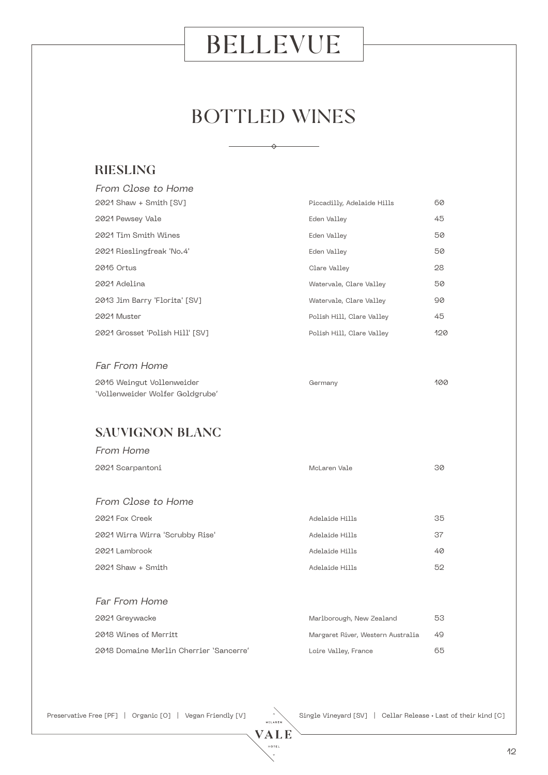## BOTTLED WINES

 $\leftrightarrow$ 

### RIESLING

| From Close to Home              |                            |     |
|---------------------------------|----------------------------|-----|
| $2021$ Shaw + Smith [SV]        | Piccadilly, Adelaide Hills | 60  |
| 2021 Pewsey Vale                | Eden Valley                | 45  |
| 2021 Tim Smith Wines            | Eden Valley                | 50  |
| 2021 Rieslingfreak 'No.4'       | Eden Valley                | 50  |
| 2016 Ortus                      | Clare Valley               | 28  |
| 2021 Adelina                    | Watervale, Clare Valley    | 50  |
| 2013 Jim Barry 'Florita' [SV]   | Watervale, Clare Valley    | 90  |
| 2021 Muster                     | Polish Hill, Clare Valley  | 45  |
| 2021 Grosset 'Polish Hill' [SV] | Polish Hill, Clare Valley  | 120 |

#### Far From Home

| 2016 Weingut Vollenweider       | Germany | 100 |
|---------------------------------|---------|-----|
| 'Vollenweider Wolfer Goldgrube' |         |     |

#### SAUVIGNON BLANC

| From Home                       |                                   |    |
|---------------------------------|-----------------------------------|----|
| 2021 Scarpantoni                | McLaren Vale                      | 30 |
|                                 |                                   |    |
| From Close to Home              |                                   |    |
| 2021 Fox Creek                  | Adelaide Hills                    | 35 |
| 2021 Wirra Wirra 'Scrubby Rise' | Adelaide Hills                    | 37 |
| 2021 Lambrook                   | Adelaide Hills                    | 40 |
| $2021$ Shaw + Smith             | Adelaide Hills                    | 52 |
|                                 |                                   |    |
| <b>Far From Home</b>            |                                   |    |
| 2021 Greywacke                  | Marlborough, New Zealand          | 53 |
| 2018 Wines of Merritt           | Margaret River, Western Australia | 49 |

Preservative Free [PF] | Organic [O] | Vegan Friendly [V] Single Vineyard [SV] | Cellar Release • Last of their kind [C]

2018 Domaine Merlin Cherrier 'Sancerre' Loire Valley, France 65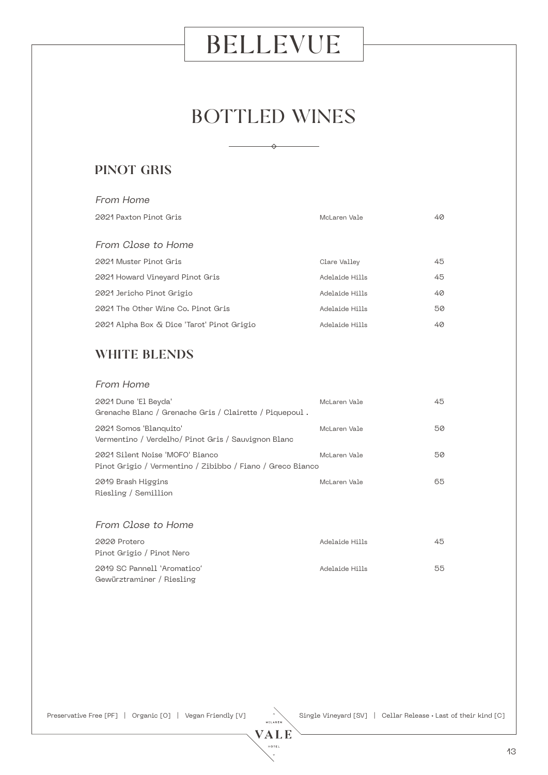## BOTTLED WINES

 $\rightarrow$ 

#### PINOT GRIS

| From Home                                  |                |    |
|--------------------------------------------|----------------|----|
| 2021 Paxton Pinot Gris                     | McLaren Vale   | 40 |
|                                            |                |    |
| From Close to Home                         |                |    |
| 2021 Muster Pinot Gris                     | Clare Valley   | 45 |
| 2021 Howard Vineyard Pinot Gris            | Adelaide Hills | 45 |
| 2021 Jericho Pinot Grigio                  | Adelaide Hills | 40 |
| 2021 The Other Wine Co. Pinot Gris         | Adelaide Hills | 50 |
| 2021 Alpha Box & Dice 'Tarot' Pinot Grigio | Adelaide Hills | 40 |

### WHITE BLENDS

#### From Home

| 2021 Dune 'El Beyda'<br>Grenache Blanc / Grenache Gris / Clairette / Piquepoul.               | McLaren Vale | 45 |
|-----------------------------------------------------------------------------------------------|--------------|----|
| 2021 Somos 'Blanquito'<br>Vermentino / Verdelho/ Pinot Gris / Sauvignon Blanc                 | McLaren Vale | 50 |
| 2021 Silent Noise 'MOFO' Bianco<br>Pinot Grigio / Vermentino / Zibibbo / Fiano / Greco Bianco | McLaren Vale | 50 |
| 2019 Brash Higgins<br>Riesling / Semillion                                                    | McLaren Vale | 65 |

#### From Close to Home

| 2020 Protero                | Adelaide Hills | 45 |
|-----------------------------|----------------|----|
| Pinot Grigio / Pinot Nero   |                |    |
| 2019 SC Pannell 'Aromatico' | Adelaide Hills | 55 |
| Gewürztraminer / Riesling   |                |    |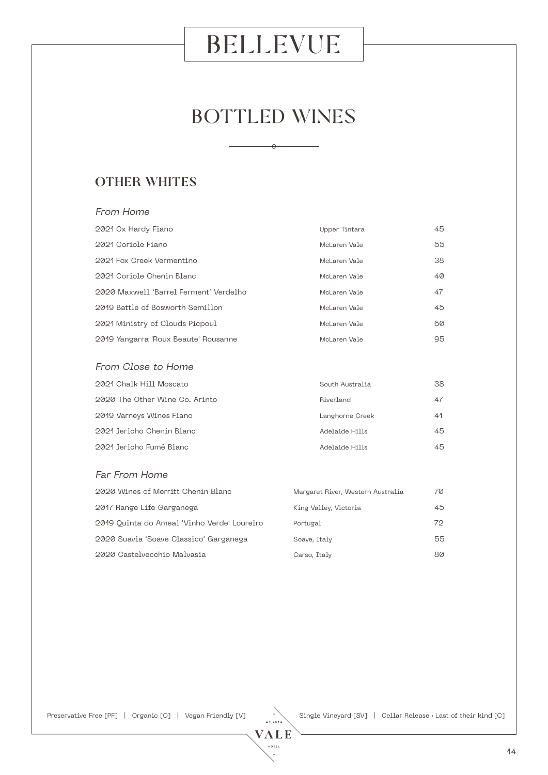## BOTTLED WINES

#### OTHER WHITES

From Home

### 2021 Ox Hardy Fiano Upper Tintara 45 2021 Coriole Fiano McLaren Vale 55 2021 Fox Creek Vermentino McLaren Vale 38 2021 Coriole Chenin Blanc McLaren Vale 40 2020 Maxwell 'Barrel Ferment' Verdelho McLaren Vale 647 2019 Battle of Bosworth Semillon McLaren Vale 45 2021 Ministry of Clouds Picpoul and McLaren Vale 60 2019 Yangarra 'Roux Beaute' Rousanne McLaren Vale 95 From Close to Home 2021 Chalk Hill Moscato South Australia 38 2020 The Other Wine Co. Arinto **Riverland** Riverland 47 2019 Varneys Wines Fiano Langhorne Creek 41 2021 Jericho Chenin Blanc Adelaide Hills 45 2021 Jericho Fumé Blanc Adelaide Hills 45

#### Far From Home

| 2020 Wines of Merritt Chenin Blanc          | Margaret River, Western Australia | 70 |
|---------------------------------------------|-----------------------------------|----|
| 2017 Range Life Garganega                   | King Valley, Victoria             | 45 |
| 2019 Quinta do Ameal 'Vinho Verde' Loureiro | Portugal                          | 72 |
| 2020 Suavia 'Soave Classico' Garganega      | Soave, Italy                      | 55 |
| 2020 Castelvecchio Malvasia                 | Carso, Italy                      | 80 |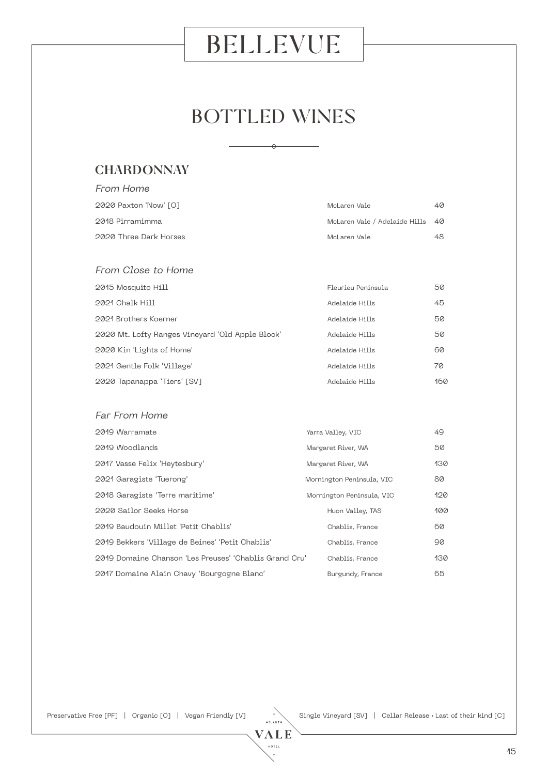## BOTTLED WINES

⇔

#### **CHARDONNAY**

From Home

| 2020 Paxton 'Now' [0]                            | McLaren Vale                  | 40  |
|--------------------------------------------------|-------------------------------|-----|
| 2018 Pirramimma                                  | McLaren Vale / Adelaide Hills | 40  |
| 2020 Three Dark Horses                           | McLaren Vale                  | 48  |
|                                                  |                               |     |
| From Close to Home                               |                               |     |
| 2015 Mosquito Hill                               | Fleurieu Peninsula            | 50  |
| 2021 Chalk Hill                                  | Adelaide Hills                | 45  |
| 2021 Brothers Koerner                            | Adelaide Hills                | 50  |
| 2020 Mt. Lofty Ranges Vineyard 'Old Apple Block' | Adelaide Hills                | 50  |
| 2020 Kin 'Lights of Home'                        | Adelaide Hills                | 60  |
| 2021 Gentle Folk 'Village'                       | Adelaide Hills                | 70  |
| 2020 Tapanappa 'Tiers' [SV]                      | Adelaide Hills                | 160 |
|                                                  |                               |     |
| Far From Home                                    |                               |     |
| 2019 Warramate                                   | Yarra Valley, VIC             | 49  |
| 2019 Woodlands                                   | Margaret River, WA            | 50  |
| 2017 Vasse Felix 'Heytesbury'                    | Margaret River, WA            | 130 |
| 2021 Garagiste 'Tuerong'                         | Mornington Peninsula, VIC     | 80  |
| 2018 Garagiste 'Terre maritime'                  | Mornington Peninsula, VIC     | 120 |
| 2020 Sailor Seeks Horse                          | Huon Valley, TAS              | 100 |
| 2019 Baudouin Millet 'Petit Chablis'             | Chablis, France               | 60  |
| OQ40 Politics Willogo de Poince Dotit Cheblie    | Chablic France                | nn. |

2019 Bekkers 'Village de Beines' 'Petit Chablis' Chablis, France 90 2019 Domaine Chanson 'Les Preuses' 'Chablis Grand Cru' Chablis, France 130 2017 Domaine Alain Chavy 'Bourgogne Blanc' Burgundy, France 65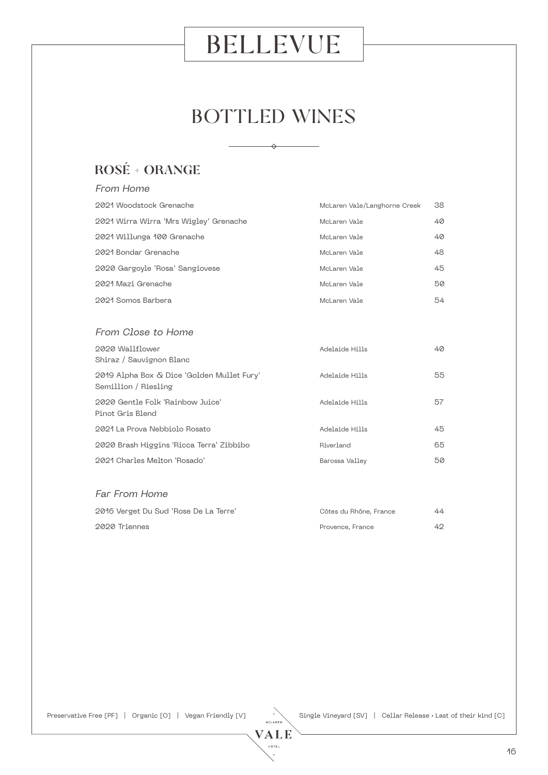## BOTTLED WINES

 $\rightarrow$ 

### ROSÉ + ORANGE

| From Home                                                          |                              |    |
|--------------------------------------------------------------------|------------------------------|----|
| 2021 Woodstock Grenache                                            | McLaren Vale/Langhorne Creek | 38 |
| 2021 Wirra Wirra 'Mrs Wigley' Grenache                             | McLaren Vale                 | 40 |
| 2021 Willunga 100 Grenache                                         | McLaren Vale                 | 40 |
| 2021 Bondar Grenache                                               | McLaren Vale                 | 48 |
| 2020 Gargoyle 'Rosa' Sangiovese                                    | McLaren Vale                 | 45 |
| 2021 Mazi Grenache                                                 | McLaren Vale                 | 50 |
| 2021 Somos Barbera                                                 | McLaren Vale                 | 54 |
|                                                                    |                              |    |
| From Close to Home                                                 |                              |    |
| 2020 Wallflower<br>Shiraz / Sauvignon Blanc                        | Adelaide Hills               | 40 |
| 2019 Alpha Box & Dice 'Golden Mullet Fury'<br>Semillion / Riesling | Adelaide Hills               | 55 |
| 2020 Gentle Folk 'Rainbow Juice'<br>Pinot Gris Blend               | Adelaide Hills               | 57 |
| 2021 La Prova Nebbiolo Rosato                                      | Adelaide Hills               | 45 |
| 2020 Brash Higgins 'Ricca Terra' Zibbibo                           | Riverland                    | 65 |
| 2021 Charles Melton 'Rosado'                                       | Barossa Valley               | 50 |
|                                                                    |                              |    |
| Far From Home                                                      |                              |    |
| 2016 Verget Du Sud 'Rose De La Terre'                              | Côtes du Rhône, France       | 44 |
| 2020 Triennes                                                      | Provence, France             | 42 |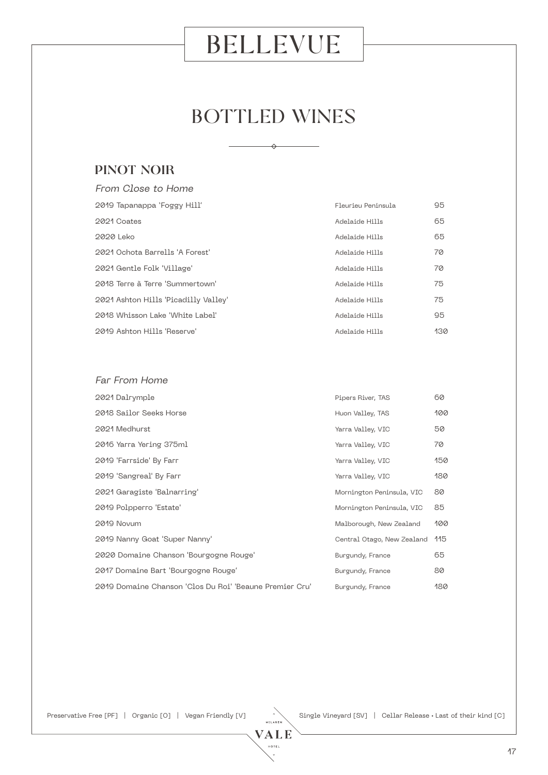## BOTTLED WINES

 $\rightarrow$ 

#### PINOT NOIR

| From Close to Home                   |                    |     |
|--------------------------------------|--------------------|-----|
| 2019 Tapanappa 'Foggy Hill'          | Fleurieu Peninsula | 95  |
| 2021 Coates                          | Adelaide Hills     | 65  |
| 2020 Leko                            | Adelaide Hills     | 65  |
| 2021 Ochota Barrells 'A Forest'      | Adelaide Hills     | 70  |
| 2021 Gentle Folk 'Village'           | Adelaide Hills     | 70  |
| 2018 Terre à Terre 'Summertown'      | Adelaide Hills     | 75  |
| 2021 Ashton Hills 'Picadilly Valley' | Adelaide Hills     | 75  |
| 2018 Whisson Lake 'White Label'      | Adelaide Hills     | 95  |
| 2019 Ashton Hills 'Reserve'          | Adelaide Hills     | 130 |

#### Far From Home

| 2018 Sailor Seeks Horse<br>Huon Valley, TAS<br>2021 Medhurst<br>Yarra Valley, VIC<br>2016 Yarra Yering 375ml<br>Yarra Valley, VIC<br>2019 'Farrside' By Farr<br>Yarra Valley, VIC<br>2019 'Sangreal' By Farr<br>Yarra Valley, VIC<br>2021 Garagiste 'Balnarring'<br>Mornington Peninsula, VIC<br>2019 Polpperro 'Estate'<br>Mornington Peninsula, VIC<br>2019 Novum<br>Malborough, New Zealand<br>2019 Nanny Goat 'Super Nanny'<br>Central Otago, New Zealand<br>2020 Domaine Chanson 'Bourgogne Rouge'<br>Burgundy, France<br>2017 Domaine Bart 'Bourgogne Rouge'<br>Burgundy, France<br>2019 Domaine Chanson 'Clos Du Roi' 'Beaune Premier Cru'<br>Burgundy, France | 2021 Dalrymple | Pipers River, TAS | 60  |
|-----------------------------------------------------------------------------------------------------------------------------------------------------------------------------------------------------------------------------------------------------------------------------------------------------------------------------------------------------------------------------------------------------------------------------------------------------------------------------------------------------------------------------------------------------------------------------------------------------------------------------------------------------------------------|----------------|-------------------|-----|
|                                                                                                                                                                                                                                                                                                                                                                                                                                                                                                                                                                                                                                                                       |                |                   | 100 |
|                                                                                                                                                                                                                                                                                                                                                                                                                                                                                                                                                                                                                                                                       |                |                   | 50  |
|                                                                                                                                                                                                                                                                                                                                                                                                                                                                                                                                                                                                                                                                       |                |                   | 70  |
|                                                                                                                                                                                                                                                                                                                                                                                                                                                                                                                                                                                                                                                                       |                |                   | 150 |
|                                                                                                                                                                                                                                                                                                                                                                                                                                                                                                                                                                                                                                                                       |                |                   | 180 |
|                                                                                                                                                                                                                                                                                                                                                                                                                                                                                                                                                                                                                                                                       |                |                   | 80  |
|                                                                                                                                                                                                                                                                                                                                                                                                                                                                                                                                                                                                                                                                       |                |                   | 85  |
|                                                                                                                                                                                                                                                                                                                                                                                                                                                                                                                                                                                                                                                                       |                |                   | 100 |
|                                                                                                                                                                                                                                                                                                                                                                                                                                                                                                                                                                                                                                                                       |                |                   | 115 |
|                                                                                                                                                                                                                                                                                                                                                                                                                                                                                                                                                                                                                                                                       |                |                   | 65  |
|                                                                                                                                                                                                                                                                                                                                                                                                                                                                                                                                                                                                                                                                       |                |                   | 80  |
|                                                                                                                                                                                                                                                                                                                                                                                                                                                                                                                                                                                                                                                                       |                |                   | 180 |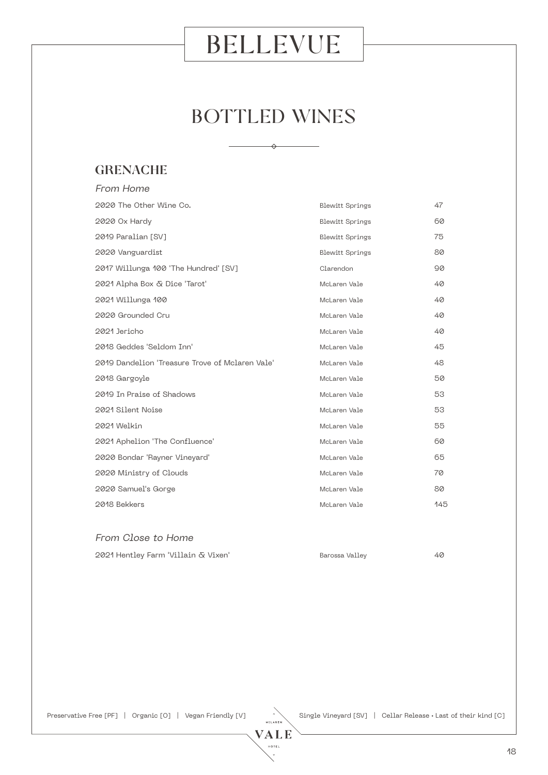## BOTTLED WINES

 $\leftrightarrow$ 

### **GRENACHE**

| From Home                                       |                        |     |
|-------------------------------------------------|------------------------|-----|
| 2020 The Other Wine Co.                         | <b>Blewitt Springs</b> | 47  |
| 2020 Ox Hardy                                   | <b>Blewitt Springs</b> | 60  |
| 2019 Paralian [SV]                              | <b>Blewitt Springs</b> | 75  |
| 2020 Vanguardist                                | <b>Blewitt Springs</b> | 80  |
| 2017 Willunga 100 'The Hundred' [SV]            | Clarendon              | 90  |
| 2021 Alpha Box & Dice 'Tarot'                   | McLaren Vale           | 40  |
| 2021 Willunga 100                               | McLaren Vale           | 40  |
| 2020 Grounded Cru                               | McLaren Vale           | 40  |
| 2021 Jericho                                    | McLaren Vale           | 40  |
| 2018 Geddes 'Seldom Inn'                        | McLaren Vale           | 45  |
| 2019 Dandelion 'Treasure Trove of Mclaren Vale' | McLaren Vale           | 48  |
| 2018 Gargoyle                                   | McLaren Vale           | 50  |
| 2019 In Praise of Shadows                       | McLaren Vale           | 53  |
| 2021 Silent Noise                               | McLaren Vale           | 53  |
| 2021 Welkin                                     | McLaren Vale           | 55  |
| 2021 Aphelion 'The Confluence'                  | McLaren Vale           | 60  |
| 2020 Bondar 'Rayner Vineyard'                   | McLaren Vale           | 65  |
| 2020 Ministry of Clouds                         | McLaren Vale           | 70  |
| 2020 Samuel's Gorge                             | McLaren Vale           | 80  |
| 2018 Bekkers                                    | McLaren Vale           | 145 |

#### From Close to Home

| 2021 Hentley Farm 'Villain & Vixen' |  |  |
|-------------------------------------|--|--|

Barossa Valley 12021 1202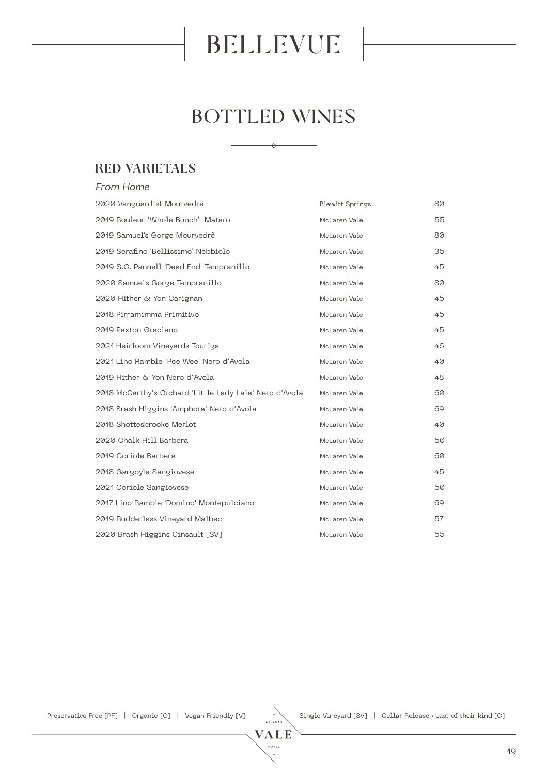## BOTTLED WINES

 $\leftrightarrow$ 

### RED VARIETALS

| From Home                                               |                 |    |
|---------------------------------------------------------|-----------------|----|
| 2020 Vanguardist Mourvedrè                              | Blewitt Springs | 80 |
| 2019 Rouleur 'Whole Bunch' Mataro                       | McLaren Vale    | 55 |
| 2019 Samuel's Gorge Mourvedrè                           | McLaren Vale    | 80 |
| 2019 Serafino 'Bellissimo' Nebbiolo                     | McLaren Vale    | 35 |
| 2019 S.C. Pannell 'Dead End' Tempranillo                | McLaren Vale    | 45 |
| 2020 Samuels Gorge Tempranillo                          | McLaren Vale    | 80 |
| 2020 Hither & Yon Carignan                              | McLaren Vale    | 45 |
| 2018 Pirramimma Primitivo                               | McLaren Vale    | 45 |
| 2019 Paxton Graciano                                    | McLaren Vale    | 45 |
| 2021 Heirloom Vineyards Touriga                         | McLaren Vale    | 46 |
| 2021 Lino Ramble 'Pee Wee' Nero d'Avola                 | McLaren Vale    | 40 |
| 2019 Hither & Yon Nero d'Avola                          | McLaren Vale    | 48 |
| 2018 McCarthy's Orchard 'Little Lady Lala' Nero d'Avola | McLaren Vale    | 60 |
| 2018 Brash Higgins 'Amphora' Nero d'Avola               | McLaren Vale    | 69 |
| 2018 Shottesbrooke Merlot                               | McLaren Vale    | 40 |
| 2020 Chalk Hill Barbera                                 | McLaren Vale    | 50 |
| 2019 Coriole Barbera                                    | McLaren Vale    | 60 |
| 2018 Gargoyle Sangiovese                                | McLaren Vale    | 45 |
| 2021 Coriole Sangiovese                                 | McLaren Vale    | 50 |
| 2017 Lino Ramble 'Domino' Montepulciano                 | McLaren Vale    | 69 |
| 2019 Rudderless Vineyard Malbec                         | McLaren Vale    | 57 |
| 2020 Brash Higgins Cinsault [SV]                        | McLaren Vale    | 55 |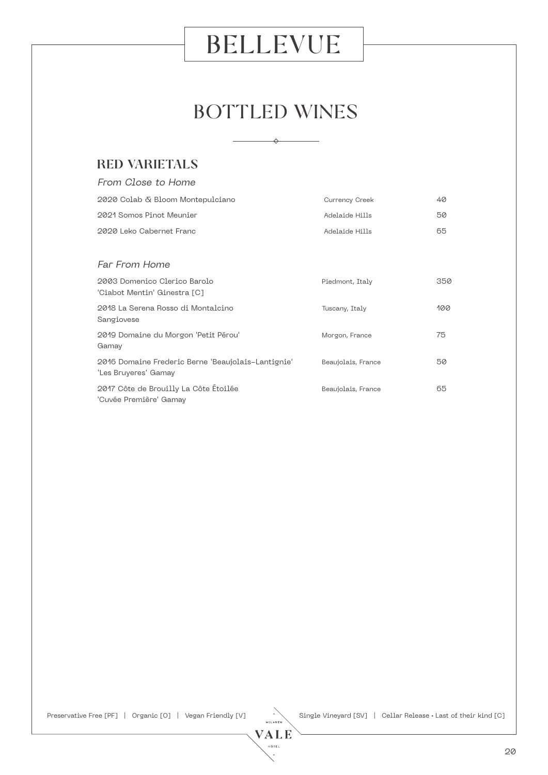## BOTTLED WINES

 $\triangle$ 

#### RED VARIETALS

| From Close to Home                                                         |                    |     |
|----------------------------------------------------------------------------|--------------------|-----|
| 2020 Colab & Bloom Montepulciano                                           | Currency Creek     | 40  |
| 2021 Somos Pinot Meunier                                                   | Adelaide Hills     | 50  |
| 2020 Leko Cabernet Franc                                                   | Adelaide Hills     | 65  |
|                                                                            |                    |     |
| Far From Home                                                              |                    |     |
| 2003 Domenico Clerico Barolo<br>'Ciabot Mentin' Ginestra [C]               | Piedmont, Italy    | 350 |
| 2018 La Serena Rosso di Montalcino<br>Sangiovese                           | Tuscany, Italy     | 100 |
| 2019 Domaine du Morgon 'Petit Pérou'<br>Gamay                              | Morgon, France     | 75  |
| 2016 Domaine Frederic Berne 'Beaujolais–Lantignie'<br>'Les Bruyeres' Gamay | Beaujolais, France | 50  |
| 2017 Côte de Brouilly La Côte Étoilée<br>'Cuvée Première' Gamay            | Beaujolais, France | 65  |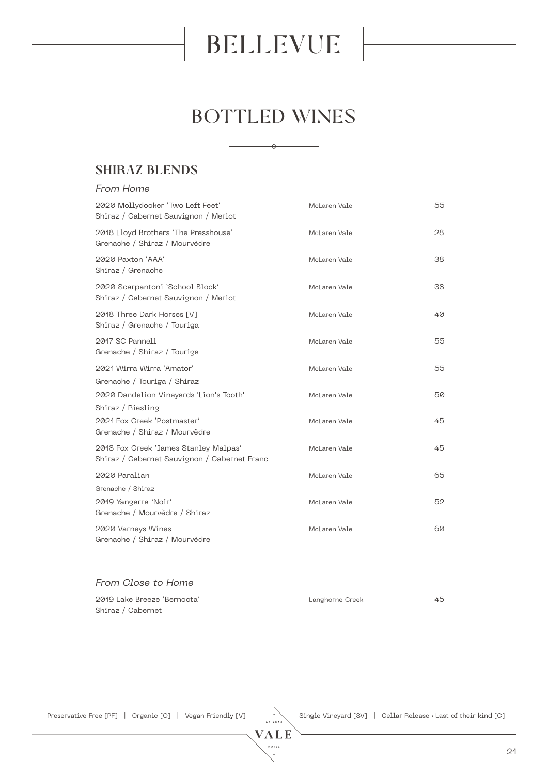## BOTTLED WINES

 $\rightarrow$ 

### SHIRAZ BLENDS

| From Home                                                                             |              |    |
|---------------------------------------------------------------------------------------|--------------|----|
| 2020 Mollydooker 'Two Left Feet'<br>Shiraz / Cabernet Sauvignon / Merlot              | McLaren Vale | 55 |
| 2018 Lloyd Brothers 'The Presshouse'<br>Grenache / Shiraz / Mourvèdre                 | McLaren Vale | 28 |
| 2020 Paxton 'AAA'<br>Shiraz / Grenache                                                | McLaren Vale | 38 |
| 2020 Scarpantoni 'School Block'<br>Shiraz / Cabernet Sauvignon / Merlot               | McLaren Vale | 38 |
| 2018 Three Dark Horses [V]<br>Shiraz / Grenache / Touriga                             | McLaren Vale | 40 |
| 2017 SC Pannell<br>Grenache / Shiraz / Touriga                                        | McLaren Vale | 55 |
| 2021 Wirra Wirra 'Amator'<br>Grenache / Touriga / Shiraz                              | McLaren Vale | 55 |
| 2020 Dandelion Vineyards 'Lion's Tooth'<br>Shiraz / Riesling                          | McLaren Vale | 50 |
| 2021 Fox Creek 'Postmaster'<br>Grenache / Shiraz / Mourvèdre                          | McLaren Vale | 45 |
| 2018 Fox Creek 'James Stanley Malpas'<br>Shiraz / Cabernet Sauvignon / Cabernet Franc | McLaren Vale | 45 |
| 2020 Paralian                                                                         | McLaren Vale | 65 |
| Grenache / Shiraz                                                                     |              |    |
| 2019 Yangarra 'Noir'<br>Grenache / Mourvèdre / Shiraz                                 | McLaren Vale | 52 |
| 2020 Varneys Wines<br>Grenache / Shiraz / Mourvèdre                                   | McLaren Vale | 60 |
| From Close to Home                                                                    |              |    |

| 2019 Lake Breeze 'Bernoota' | Langhorne Creek | 45 |
|-----------------------------|-----------------|----|
| Shiraz / Cabernet           |                 |    |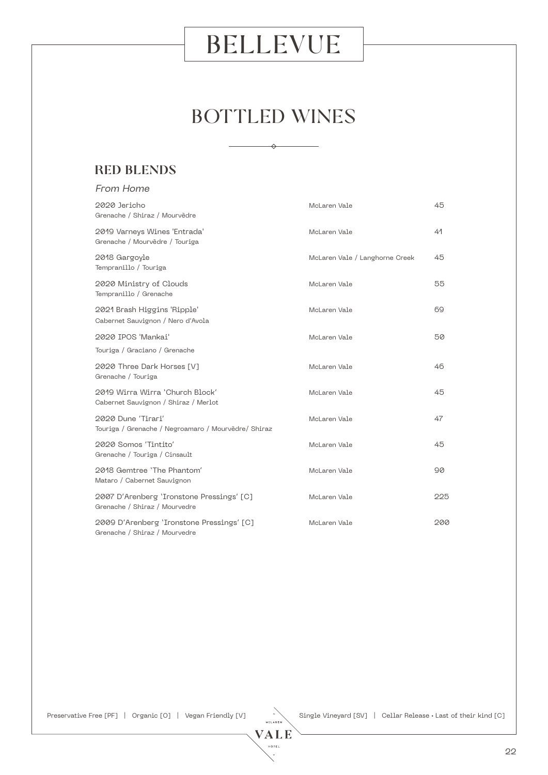## BOTTLED WINES

 $\rightarrow$ 

### RED BLENDS

| From Home                                                                  |                                |     |
|----------------------------------------------------------------------------|--------------------------------|-----|
| 2020 Jericho<br>Grenache / Shiraz / Mourvèdre                              | McLaren Vale                   | 45  |
| 2019 Varneys Wines 'Entrada'<br>Grenache / Mourvèdre / Touriga             | McLaren Vale                   | 41  |
| 2018 Gargoyle<br>Tempranillo / Touriga                                     | McLaren Vale / Langhorne Creek | 45  |
| 2020 Ministry of Clouds<br>Tempranillo / Grenache                          | McLaren Vale                   | 55  |
| 2021 Brash Higgins 'Ripple'<br>Cabernet Sauvignon / Nero d'Avola           | McLaren Vale                   | 69  |
| 2020 IPOS 'Mankai'                                                         | McLaren Vale                   | 50  |
| Touriga / Graciano / Grenache                                              |                                |     |
| 2020 Three Dark Horses [V]<br>Grenache / Touriga                           | McLaren Vale                   | 46  |
| 2019 Wirra Wirra 'Church Block'<br>Cabernet Sauvignon / Shiraz / Merlot    | McLaren Vale                   | 45  |
| 2020 Dune 'Tirari'<br>Touriga / Grenache / Negroamaro / Mourvèdre/ Shiraz  | McLaren Vale                   | 47  |
| 2020 Somos 'Tintito'<br>Grenache / Touriga / Cinsault                      | McLaren Vale                   | 45  |
| 2018 Gemtree 'The Phantom'<br>Mataro / Cabernet Sauvignon                  | McLaren Vale                   | 90  |
| 2007 D'Arenberg 'Ironstone Pressings' [C]<br>Grenache / Shiraz / Mourvedre | McLaren Vale                   | 225 |
| 2009 D'Arenberg 'Ironstone Pressings' [C]<br>Grenache / Shiraz / Mourvedre | McLaren Vale                   | 200 |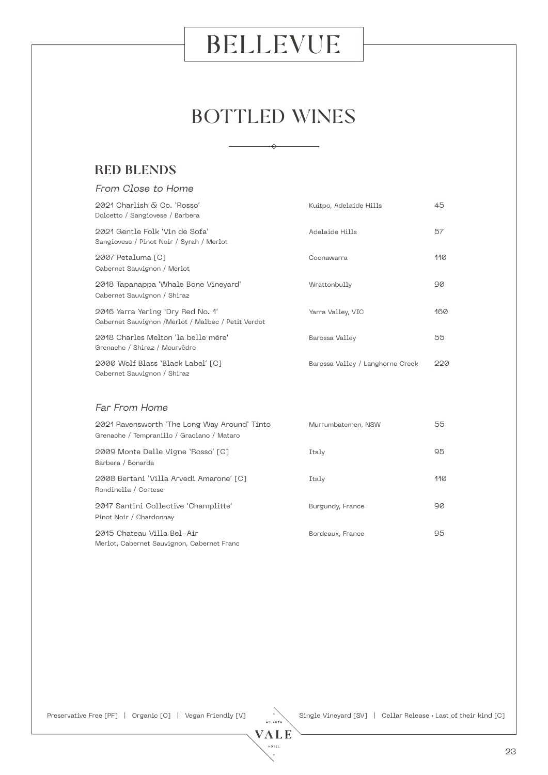## BOTTLED WINES

 $\leftrightarrow$ 

#### RED BLENDS

| From Close to Home                                                                         |                                  |     |
|--------------------------------------------------------------------------------------------|----------------------------------|-----|
| 2021 Charlish & Co. 'Rosso'<br>Kuitpo, Adelaide Hills<br>Dolcetto / Sangiovese / Barbera   |                                  | 45  |
| 2021 Gentle Folk 'Vin de Sofa'<br>Sangiovese / Pinot Noir / Syrah / Merlot                 | Adelaide Hills                   | 57  |
| 2007 Petaluma [C]<br>Cabernet Sauvignon / Merlot                                           | Coonawarra                       | 110 |
| 2018 Tapanappa 'Whale Bone Vineyard'<br>Cabernet Sauvignon / Shiraz                        | Wrattonbully                     | 90  |
| 2016 Yarra Yering 'Dry Red No. 1'<br>Cabernet Sauvignon /Merlot / Malbec / Petit Verdot    | Yarra Valley, VIC                | 160 |
| 2018 Charles Melton 'la belle mère'<br>Grenache / Shiraz / Mourvèdre                       | Barossa Valley                   | 55  |
| 2000 Wolf Blass 'Black Label' [C]<br>Cabernet Sauvignon / Shiraz                           | Barossa Valley / Langhorne Creek | 220 |
| Far From Home                                                                              |                                  |     |
| 2021 Ravensworth 'The Long Way Around' Tinto<br>Grenache / Tempranillo / Graciano / Mataro | Murrumbatemen, NSW               | 55  |
| 2009 Monte Delle Vigne 'Rosso' [C]<br>Barbera / Bonarda                                    | Italy                            | 95  |
| 2008 Bertani 'Villa Arvedi Amarone' [C]<br>Rondinella / Cortese                            | Italy                            | 110 |
| 2017 Santini Collective 'Champlitte'                                                       | Burgundy, France                 | 90  |

2015 Chateau Villa Bel-Air Bordeaux, France 95 Merlot, Cabernet Sauvignon, Cabernet Franc

Pinot Noir / Chardonnay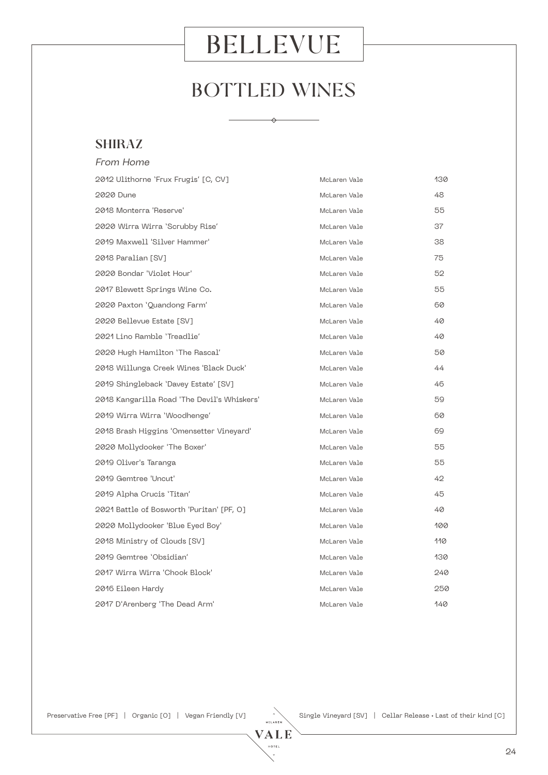## BOTTLED WINES

 $\leftrightarrow$ 

#### SHIRAZ

| From Home                                   |              |     |
|---------------------------------------------|--------------|-----|
| 2012 Ulithorne 'Frux Frugis' [C, CV]        | McLaren Vale | 130 |
| 2020 Dune                                   | McLaren Vale | 48  |
| 2018 Monterra 'Reserve'                     | McLaren Vale | 55  |
| 2020 Wirra Wirra 'Scrubby Rise'             | McLaren Vale | 37  |
| 2019 Maxwell 'Silver Hammer'                | McLaren Vale | 38  |
| 2018 Paralian [SV]                          | McLaren Vale | 75  |
| 2020 Bondar 'Violet Hour'                   | McLaren Vale | 52  |
| 2017 Blewett Springs Wine Co.               | McLaren Vale | 55  |
| 2020 Paxton 'Quandong Farm'                 | McLaren Vale | 60  |
| 2020 Bellevue Estate [SV]                   | McLaren Vale | 40  |
| 2021 Lino Ramble 'Treadlie'                 | McLaren Vale | 40  |
| 2020 Hugh Hamilton 'The Rascal'             | McLaren Vale | 50  |
| 2018 Willunga Creek Wines 'Black Duck'      | McLaren Vale | 44  |
| 2019 Shingleback 'Davey Estate' [SV]        | McLaren Vale | 46  |
| 2018 Kangarilla Road 'The Devil's Whiskers' | McLaren Vale | 59  |
| 2019 Wirra Wirra 'Woodhenge'                | McLaren Vale | 60  |
| 2018 Brash Higgins 'Omensetter Vineyard'    | McLaren Vale | 69  |
| 2020 Mollydooker 'The Boxer'                | McLaren Vale | 55  |
| 2019 Oliver's Taranga                       | McLaren Vale | 55  |
| 2019 Gemtree 'Uncut'                        | McLaren Vale | 42  |
| 2019 Alpha Crucis 'Titan'                   | McLaren Vale | 45  |
| 2021 Battle of Bosworth 'Puritan' [PF, O]   | McLaren Vale | 40  |
| 2020 Mollydooker 'Blue Eyed Boy'            | McLaren Vale | 100 |
| 2018 Ministry of Clouds [SV]                | McLaren Vale | 110 |
| 2019 Gemtree 'Obsidian'                     | McLaren Vale | 130 |
| 2017 Wirra Wirra 'Chook Block'              | McLaren Vale | 240 |
| 2016 Eileen Hardy                           | McLaren Vale | 250 |
| 2017 D'Arenberg 'The Dead Arm'              | McLaren Vale | 140 |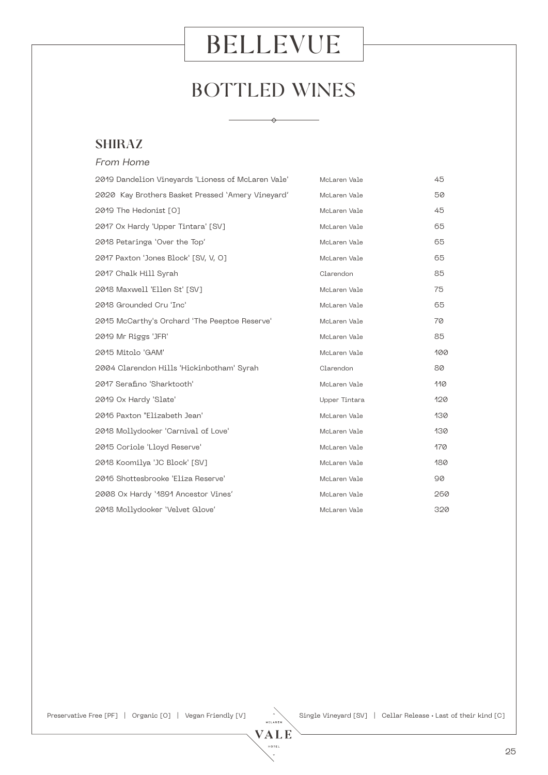## BOTTLED WINES

 $\leftrightarrow$ 

#### SHIRAZ

| From Home                                          |               |     |
|----------------------------------------------------|---------------|-----|
| 2019 Dandelion Vineyards 'Lioness of McLaren Vale' | McLaren Vale  | 45  |
| 2020 Kay Brothers Basket Pressed 'Amery Vineyard'  | McLaren Vale  | 50  |
| 2019 The Hedonist [0]                              | McLaren Vale  | 45  |
| 2017 Ox Hardy 'Upper Tintara' [SV]                 | McLaren Vale  | 65  |
| 2018 Petaringa 'Over the Top'                      | McLaren Vale  | 65  |
| 2017 Paxton 'Jones Block' [SV, V, O]               | McLaren Vale  | 65  |
| 2017 Chalk Hill Syrah                              | Clarendon     | 85  |
| 2018 Maxwell 'Ellen St' [SV]                       | McLaren Vale  | 75  |
| 2018 Grounded Cru 'Inc'                            | McLaren Vale  | 65  |
| 2015 McCarthy's Orchard 'The Peeptoe Reserve'      | McLaren Vale  | 70  |
| 2019 Mr Riggs 'JFR'                                | McLaren Vale  | 85  |
| 2015 Mitolo 'GAM'                                  | McLaren Vale  | 100 |
| 2004 Clarendon Hills 'Hickinbotham' Syrah          | Clarendon     | 80  |
| 2017 Serafino 'Sharktooth'                         | McLaren Vale  | 110 |
| 2019 Ox Hardy 'Slate'                              | Upper Tintara | 120 |
| 2016 Paxton "Elizabeth Jean'                       | McLaren Vale  | 130 |
| 2018 Mollydooker 'Carnival of Love'                | McLaren Vale  | 130 |
| 2015 Coriole 'Lloyd Reserve'                       | McLaren Vale  | 170 |
| 2018 Koomilya 'JC Block' [SV]                      | McLaren Vale  | 180 |
| 2016 Shottesbrooke 'Eliza Reserve'                 | McLaren Vale  | 90  |
| 2008 Ox Hardy '1891 Ancestor Vines'                | McLaren Vale  | 260 |
| 2018 Mollydooker 'Velvet Glove'                    | McLaren Vale  | 320 |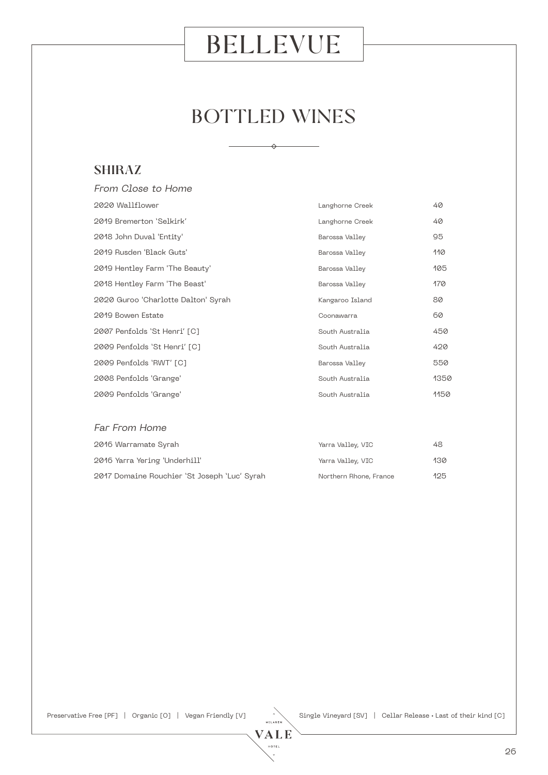## BOTTLED WINES

 $\rightarrow$ 

#### SHIRAZ

| From Close to Home                  |                 |      |
|-------------------------------------|-----------------|------|
| 2020 Wallflower                     | Langhorne Creek | 40   |
| 2019 Bremerton 'Selkirk'            | Langhorne Creek | 40   |
| 2018 John Duval 'Entity'            | Barossa Valley  | 95   |
| 2019 Rusden 'Black Guts'            | Barossa Valley  | 110  |
| 2019 Hentley Farm 'The Beauty'      | Barossa Valley  | 105  |
| 2018 Hentley Farm 'The Beast'       | Barossa Valley  | 170  |
| 2020 Guroo 'Charlotte Dalton' Syrah | Kangaroo Island | 80   |
| 2019 Bowen Estate                   | Coonawarra      | 60   |
| 2007 Penfolds 'St Henri' [C]        | South Australia | 450  |
| 2009 Penfolds 'St Henri' [C]        | South Australia | 420  |
| 2009 Penfolds 'RWT' [C]             | Barossa Valley  | 550  |
| 2008 Penfolds 'Grange'              | South Australia | 1350 |
| 2009 Penfolds 'Grange'              | South Australia | 1150 |
|                                     |                 |      |
| Far From Home                       |                 |      |

| 2016 Warramate Syrah                         | Yarra Valley, VIC      | 48  |
|----------------------------------------------|------------------------|-----|
| 2016 Yarra Yering 'Underhill'                | Yarra Valley, VIC      | 130 |
| 2017 Domaine Rouchier 'St Joseph 'Luc' Syrah | Northern Rhone, France | 125 |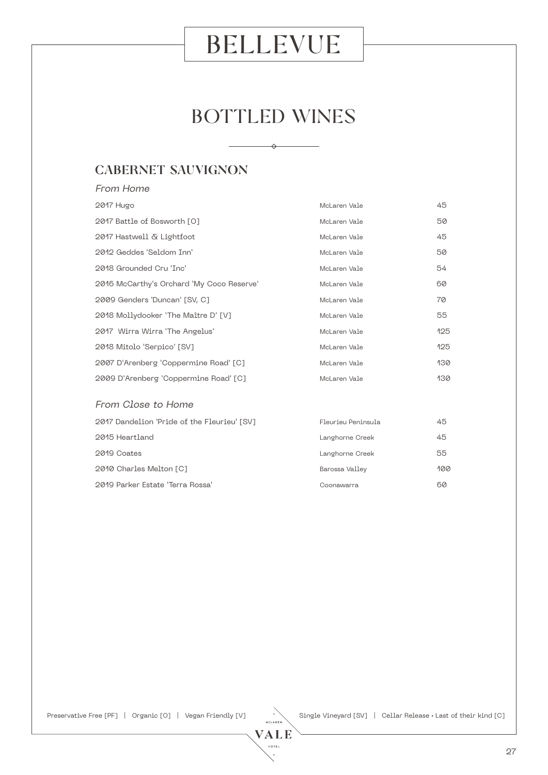## BOTTLED WINES

 $\rightarrow$ 

### CABERNET SAUVIGNON

| From Home                                             |                    |     |
|-------------------------------------------------------|--------------------|-----|
| 2017 Hugo                                             | McLaren Vale       | 45  |
| 2017 Battle of Bosworth [O]                           | McLaren Vale       | 50  |
| 2017 Hastwell & Lightfoot                             | McLaren Vale       | 45  |
| 2012 Geddes 'Seldom Inn'                              | McLaren Vale       | 50  |
| 2018 Grounded Cru 'Inc'                               | McLaren Vale       | 54  |
| 2016 McCarthy's Orchard 'My Coco Reserve'             | McLaren Vale       | 60  |
| 2009 Genders 'Duncan' [SV, C]                         | McLaren Vale       | 70  |
| 2018 Mollydooker 'The Maître D' [V]                   | McLaren Vale       | 55  |
| 2017 Wirra Wirra 'The Angelus'                        | McLaren Vale       | 125 |
| 2018 Mitolo 'Serpico' [SV]                            | McLaren Vale       | 125 |
| 2007 D'Arenberg 'Coppermine Road' [C]                 | McLaren Vale       | 130 |
| 2009 D'Arenberg 'Coppermine Road' [C]<br>McLaren Vale |                    | 130 |
| From Close to Home                                    |                    |     |
| 2017 Dandelion 'Pride of the Fleurieu' [SV]           | Fleurieu Peninsula | 45  |
| 2015 Heartland                                        | Langhorne Creek    | 45  |
| 2019 Coates                                           | Langhorne Creek    | 55  |
| 2010 Charles Melton [C]                               | Barossa Valley     | 100 |
| 2019 Parker Estate 'Terra Rossa'                      | Coonawarra         | 60  |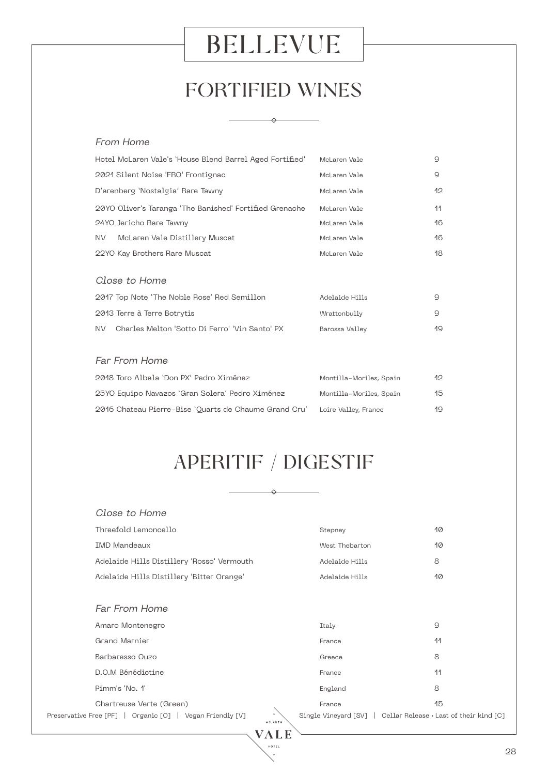## FORTIFIED WINES

 $\leftrightarrow$ 

#### From Home

|                                                          |                         | 9            |
|----------------------------------------------------------|-------------------------|--------------|
| Hotel McLaren Vale's 'House Blend Barrel Aged Fortified' | McLaren Vale            |              |
| 2021 Silent Noise 'FRO' Frontignac                       | McLaren Vale            | 9            |
| D'arenberg 'Nostalgia' Rare Tawny                        | McLaren Vale            | $12^{\circ}$ |
| 20YO Oliver's Taranga 'The Banished' Fortified Grenache  | McLaren Vale            | 11           |
| 24YO Jericho Rare Tawny                                  | McLaren Vale            | 16           |
| NV.<br>McLaren Vale Distillery Muscat                    | McLaren Vale            | 16           |
| 22YO Kay Brothers Rare Muscat                            | McLaren Vale            | 18           |
| Close to Home                                            |                         |              |
| 2017 Top Note 'The Noble Rose' Red Semillon              | Adelaide Hills          | 9            |
| 2013 Terre à Terre Botrytis                              | Wrattonbully            | 9            |
| Charles Melton 'Sotto Di Ferro' 'Vin Santo' PX<br>NV.    | Barossa Valley          | 19           |
|                                                          |                         |              |
| Far From Home                                            |                         |              |
| 2018 Toro Albala 'Don PX' Pedro Ximénez                  | Montilla-Moriles, Spain | 12           |
| 25YO Equipo Navazos 'Gran Solera' Pedro Ximénez          | Montilla-Moriles, Spain | 15           |
| 2016 Chateau Pierre-Bise 'Quarts de Chaume Grand Cru'    | Loire Valley, France    | 19           |

## APERITIF / DIGESTIF

 $\rightarrow$ 

| Close to Home                                                        |                                                                |    |
|----------------------------------------------------------------------|----------------------------------------------------------------|----|
| Threefold Lemoncello                                                 | Stepney                                                        | 10 |
| <b>IMD Mandeaux</b>                                                  | West Thebarton                                                 | 10 |
| Adelaide Hills Distillery 'Rosso' Vermouth                           | Adelaide Hills                                                 | 8  |
| Adelaide Hills Distillery 'Bitter Orange'                            | Adelaide Hills                                                 | 10 |
|                                                                      |                                                                |    |
| <b>Far From Home</b>                                                 |                                                                |    |
| Amaro Montenegro                                                     | Italy                                                          | 9  |
| <b>Grand Marnier</b>                                                 | France                                                         | 11 |
| Barbaresso Ouzo                                                      | Greece                                                         | 8  |
| D.O.M Bénédictine                                                    | France                                                         | 11 |
| Pimm's 'No. 1'                                                       | England                                                        | 8  |
| Chartreuse Verte (Green)                                             | France                                                         | 15 |
| Preservative Free [PF]   Organic [O]   Vegan Friendly [V]<br>MSLAREN | Single Vineyard [SV]   Cellar Release • Last of their kind [C] |    |
|                                                                      |                                                                |    |

**HOTEL**  $\downarrow$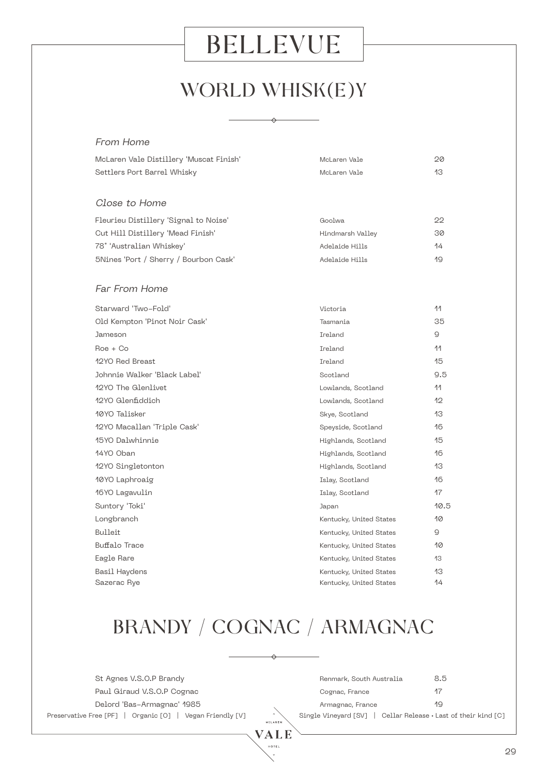## WORLD WHISK(E)Y

 $\leftrightarrow$ 

#### From Home

| McLaren Vale Distillery 'Muscat Finish' | McLaren Vale            | 20   |
|-----------------------------------------|-------------------------|------|
| Settlers Port Barrel Whisky             | McLaren Vale            | 13   |
|                                         |                         |      |
| Close to Home                           |                         |      |
| Fleurieu Distillery 'Signal to Noise'   | Goolwa                  | 22   |
| Cut Hill Distillery 'Mead Finish'       | Hindmarsh Valley        | 30   |
| 78° 'Australian Whiskey'                | Adelaide Hills          | 14   |
| 5Nines 'Port / Sherry / Bourbon Cask'   | Adelaide Hills          | 19   |
| <b>Far From Home</b>                    |                         |      |
| Starward 'Two-Fold'                     | Victoria                | 11   |
| Old Kempton 'Pinot Noir Cask'           | Tasmania                | 35   |
| Jameson                                 | Ireland                 | Q.   |
| $\text{Roe} + \text{Co}$                | Ireland                 | 11   |
| 12YO Red Breast                         | Ireland                 | 15   |
| Johnnie Walker 'Black Label'            | Scotland                | 9.5  |
| 12YO The Glenlivet                      | Lowlands, Scotland      | 11   |
| 12YO Glenfiddich                        | Lowlands, Scotland      | 12   |
| 10YO Talisker                           | Skye, Scotland          | 13   |
| 12YO Macallan 'Triple Cask'             | Speyside, Scotland      | 16   |
| 15YO Dalwhinnie                         | Highlands, Scotland     | 15   |
| 14YO Oban                               | Highlands, Scotland     | 16   |
| 12YO Singletonton                       | Highlands, Scotland     | 13   |
| 10YO Laphroaig                          | Islay, Scotland         | 16   |
| 16YO Lagavulin                          | Islay, Scotland         | 17   |
| Suntory 'Toki'                          | Japan                   | 10.5 |
| Longbranch                              | Kentucky, United States | 10   |
| Bulleit                                 | Kentucky, United States | Q.   |
| Buffalo Trace                           | Kentucky, United States | 10   |
| Eagle Rare                              | Kentucky, United States | 13   |
| Basil Haydens                           | Kentucky, United States | 13   |
| Sazerac Rye                             | Kentucky, United States | 14   |

## BRANDY / COGNAC / ARMAGNAC

 $\leftrightarrow$ 

| St Agnes V.S.O.P Brandy                                   |         | Renmark, South Australia                                       | 8.5 |
|-----------------------------------------------------------|---------|----------------------------------------------------------------|-----|
| Paul Giraud V.S.O.P Cognac                                |         | Cognac, France                                                 | -17 |
| Delord 'Bas-Armagnac' 1985                                |         | Armagnac, France                                               | 19  |
| Preservative Free [PF]   Organic [O]   Vegan Friendly [V] | MSLAREN | Single Vineyard [SV]   Cellar Release • Last of their kind [C] |     |
|                                                           |         |                                                                |     |

**VALE HOTEL** j.